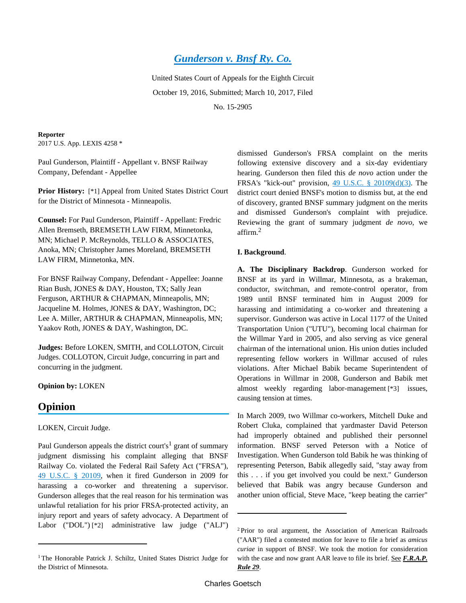# *[Gunderson v. Bnsf Ry. Co.](http://advance.lexis.com/api/document?collection=cases&id=urn:contentItem:5N29-N5F1-F04K-S04H-00000-00&context=)*

United States Court of Appeals for the Eighth Circuit October 19, 2016, Submitted; March 10, 2017, Filed No. 15-2905

**Reporter** 2017 U.S. App. LEXIS 4258 \*

Paul Gunderson, Plaintiff - Appellant v. BNSF Railway Company, Defendant - Appellee

**Prior History:** [\*1] Appeal from United States District Court for the District of Minnesota - Minneapolis.

**Counsel:** For Paul Gunderson, Plaintiff - Appellant: Fredric Allen Bremseth, BREMSETH LAW FIRM, Minnetonka, MN; Michael P. McReynolds, TELLO & ASSOCIATES, Anoka, MN; Christopher James Moreland, BREMSETH LAW FIRM, Minnetonka, MN.

For BNSF Railway Company, Defendant - Appellee: Joanne Rian Bush, JONES & DAY, Houston, TX; Sally Jean Ferguson, ARTHUR & CHAPMAN, Minneapolis, MN; Jacqueline M. Holmes, JONES & DAY, Washington, DC; Lee A. Miller, ARTHUR & CHAPMAN, Minneapolis, MN; Yaakov Roth, JONES & DAY, Washington, DC.

**Judges:** Before LOKEN, SMITH, and COLLOTON, Circuit Judges. COLLOTON, Circuit Judge, concurring in part and concurring in the judgment.

**Opinion by:** LOKEN

## **Opinion**

LOKEN, Circuit Judge.

Paul Gunderson appeals the district court's<sup>1</sup> grant of summary judgment dismissing his complaint alleging that BNSF Railway Co. violated the Federal Rail Safety Act ("FRSA"), [49 U.S.C. § 20109](http://advance.lexis.com/api/document?collection=statutes-legislation&id=urn:contentItem:4YF7-GM21-NRF4-40G8-00000-00&context=), when it fired Gunderson in 2009 for harassing a co-worker and threatening a supervisor. Gunderson alleges that the real reason for his termination was unlawful retaliation for his prior FRSA-protected activity, an injury report and years of safety advocacy. A Department of Labor ("DOL") [\*2] administrative law judge ("ALJ")

dismissed Gunderson's FRSA complaint on the merits following extensive discovery and a six-day evidentiary hearing. Gunderson then filed this *de novo* action under the FRSA's "kick-out" provision, [49 U.S.C. § 20109\(d\)\(3\).](http://advance.lexis.com/api/document?collection=statutes-legislation&id=urn:contentItem:4YF7-GM21-NRF4-40G8-00000-00&context=) The district court denied BNSF's motion to dismiss but, at the end of discovery, granted BNSF summary judgment on the merits and dismissed Gunderson's complaint with prejudice. Reviewing the grant of summary judgment *de novo*, we affirm.<sup>2</sup>

### **I. Background**.

**A. The Disciplinary Backdrop**. Gunderson worked for BNSF at its yard in Willmar, Minnesota, as a brakeman, conductor, switchman, and remote-control operator, from 1989 until BNSF terminated him in August 2009 for harassing and intimidating a co-worker and threatening a supervisor. Gunderson was active in Local 1177 of the United Transportation Union ("UTU"), becoming local chairman for the Willmar Yard in 2005, and also serving as vice general chairman of the international union. His union duties included representing fellow workers in Willmar accused of rules violations. After Michael Babik became Superintendent of Operations in Willmar in 2008, Gunderson and Babik met almost weekly regarding labor-management [\*3] issues, causing tension at times.

In March 2009, two Willmar co-workers, Mitchell Duke and Robert Cluka, complained that yardmaster David Peterson had improperly obtained and published their personnel information. BNSF served Peterson with a Notice of Investigation. When Gunderson told Babik he was thinking of representing Peterson, Babik allegedly said, "stay away from this . . . if you get involved you could be next." Gunderson believed that Babik was angry because Gunderson and another union official, Steve Mace, "keep beating the carrier"

<sup>&</sup>lt;sup>1</sup>The Honorable Patrick J. Schiltz, United States District Judge for the District of Minnesota.

<sup>2</sup>Prior to oral argument, the Association of American Railroads ("AAR") filed a contested motion for leave to file a brief as *amicus curiae* in support of BNSF. We took the motion for consideration with the case and now grant AAR leave to file its brief. See F.R.A.P. *Rule 29*.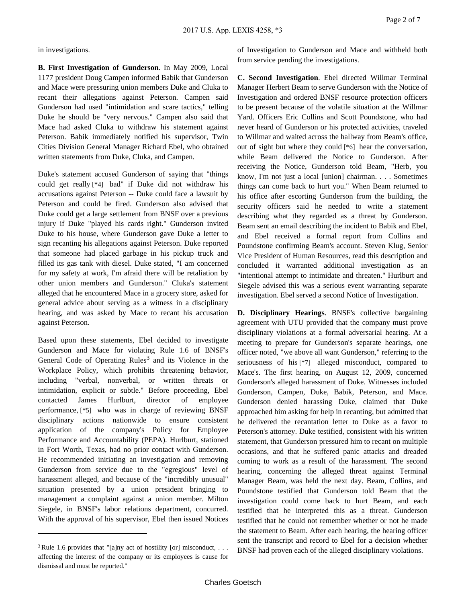in investigations.

**B. First Investigation of Gunderson**. In May 2009, Local 1177 president Doug Campen informed Babik that Gunderson and Mace were pressuring union members Duke and Cluka to recant their allegations against Peterson. Campen said Gunderson had used "intimidation and scare tactics," telling Duke he should be "very nervous." Campen also said that Mace had asked Cluka to withdraw his statement against Peterson. Babik immediately notified his supervisor, Twin Cities Division General Manager Richard Ebel, who obtained written statements from Duke, Cluka, and Campen.

Duke's statement accused Gunderson of saying that "things could get really [\*4] bad" if Duke did not withdraw his accusations against Peterson -- Duke could face a lawsuit by Peterson and could be fired. Gunderson also advised that Duke could get a large settlement from BNSF over a previous injury if Duke "played his cards right." Gunderson invited Duke to his house, where Gunderson gave Duke a letter to sign recanting his allegations against Peterson. Duke reported that someone had placed garbage in his pickup truck and filled its gas tank with diesel. Duke stated, "I am concerned for my safety at work, I'm afraid there will be retaliation by other union members and Gunderson." Cluka's statement alleged that he encountered Mace in a grocery store, asked for general advice about serving as a witness in a disciplinary hearing, and was asked by Mace to recant his accusation against Peterson.

Based upon these statements, Ebel decided to investigate Gunderson and Mace for violating Rule 1.6 of BNSF's General Code of Operating Rules<sup>3</sup> and its Violence in the Workplace Policy, which prohibits threatening behavior, including "verbal, nonverbal, or written threats or intimidation, explicit or subtle." Before proceeding, Ebel contacted James Hurlburt, director of employee performance, [\*5] who was in charge of reviewing BNSF disciplinary actions nationwide to ensure consistent application of the company's Policy for Employee Performance and Accountability (PEPA). Hurlburt, stationed in Fort Worth, Texas, had no prior contact with Gunderson. He recommended initiating an investigation and removing Gunderson from service due to the "egregious" level of harassment alleged, and because of the "incredibly unusual" situation presented by a union president bringing to management a complaint against a union member. Milton Siegele, in BNSF's labor relations department, concurred. With the approval of his supervisor, Ebel then issued Notices

of Investigation to Gunderson and Mace and withheld both from service pending the investigations.

**C. Second Investigation**. Ebel directed Willmar Terminal Manager Herbert Beam to serve Gunderson with the Notice of Investigation and ordered BNSF resource protection officers to be present because of the volatile situation at the Willmar Yard. Officers Eric Collins and Scott Poundstone, who had never heard of Gunderson or his protected activities, traveled to Willmar and waited across the hallway from Beam's office, out of sight but where they could [\*6] hear the conversation, while Beam delivered the Notice to Gunderson. After receiving the Notice, Gunderson told Beam, "Herb, you know, I'm not just a local [union] chairman. . . . Sometimes things can come back to hurt you." When Beam returned to his office after escorting Gunderson from the building, the security officers said he needed to write a statement describing what they regarded as a threat by Gunderson. Beam sent an email describing the incident to Babik and Ebel, and Ebel received a formal report from Collins and Poundstone confirming Beam's account. Steven Klug, Senior Vice President of Human Resources, read this description and concluded it warranted additional investigation as an "intentional attempt to intimidate and threaten." Hurlburt and Siegele advised this was a serious event warranting separate investigation. Ebel served a second Notice of Investigation.

**D. Disciplinary Hearings**. BNSF's collective bargaining agreement with UTU provided that the company must prove disciplinary violations at a formal adversarial hearing. At a meeting to prepare for Gunderson's separate hearings, one officer noted, "we above all want Gunderson," referring to the seriousness of his [\*7] alleged misconduct, compared to Mace's. The first hearing, on August 12, 2009, concerned Gunderson's alleged harassment of Duke. Witnesses included Gunderson, Campen, Duke, Babik, Peterson, and Mace. Gunderson denied harassing Duke, claimed that Duke approached him asking for help in recanting, but admitted that he delivered the recantation letter to Duke as a favor to Peterson's attorney. Duke testified, consistent with his written statement, that Gunderson pressured him to recant on multiple occasions, and that he suffered panic attacks and dreaded coming to work as a result of the harassment. The second hearing, concerning the alleged threat against Terminal Manager Beam, was held the next day. Beam, Collins, and Poundstone testified that Gunderson told Beam that the investigation could come back to hurt Beam, and each testified that he interpreted this as a threat. Gunderson testified that he could not remember whether or not he made the statement to Beam. After each hearing, the hearing officer sent the transcript and record to Ebel for a decision whether BNSF had proven each of the alleged disciplinary violations.

<sup>&</sup>lt;sup>3</sup> Rule 1.6 provides that "[a]ny act of hostility [or] misconduct, . . . affecting the interest of the company or its employees is cause for dismissal and must be reported."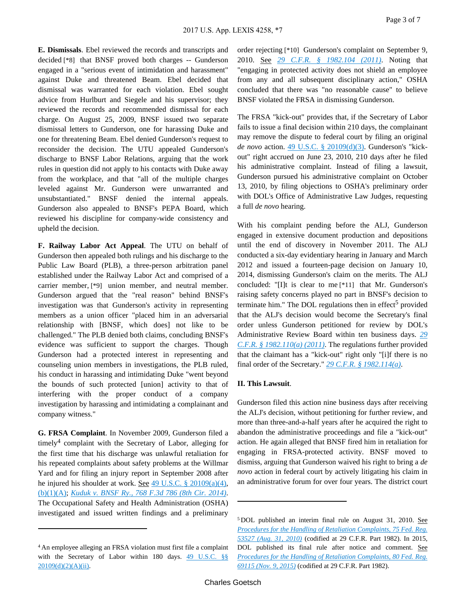**E. Dismissals**. Ebel reviewed the records and transcripts and decided [\*8] that BNSF proved both charges -- Gunderson engaged in a "serious event of intimidation and harassment" against Duke and threatened Beam. Ebel decided that dismissal was warranted for each violation. Ebel sought advice from Hurlburt and Siegele and his supervisor; they reviewed the records and recommended dismissal for each charge. On August 25, 2009, BNSF issued two separate dismissal letters to Gunderson, one for harassing Duke and one for threatening Beam. Ebel denied Gunderson's request to reconsider the decision. The UTU appealed Gunderson's discharge to BNSF Labor Relations, arguing that the work rules in question did not apply to his contacts with Duke away from the workplace, and that "all of the multiple charges leveled against Mr. Gunderson were unwarranted and unsubstantiated." BNSF denied the internal appeals. Gunderson also appealed to BNSF's PEPA Board, which reviewed his discipline for company-wide consistency and upheld the decision.

**F. Railway Labor Act Appeal**. The UTU on behalf of Gunderson then appealed both rulings and his discharge to the Public Law Board (PLB), a three-person arbitration panel established under the Railway Labor Act and comprised of a carrier member, [\*9] union member, and neutral member. Gunderson argued that the "real reason" behind BNSF's investigation was that Gunderson's activity in representing members as a union officer "placed him in an adversarial relationship with [BNSF, which does] not like to be challenged." The PLB denied both claims, concluding BNSF's evidence was sufficient to support the charges. Though Gunderson had a protected interest in representing and counseling union members in investigations, the PLB ruled, his conduct in harassing and intimidating Duke "went beyond the bounds of such protected [union] activity to that of interfering with the proper conduct of a company investigation by harassing and intimidating a complainant and company witness."

**G. FRSA Complaint**. In November 2009, Gunderson filed a timely<sup>4</sup> complaint with the Secretary of Labor, alleging for the first time that his discharge was unlawful retaliation for his repeated complaints about safety problems at the Willmar Yard and for filing an injury report in September 2008 after he injured his shoulder at work. See [49 U.S.C. § 20109\(a\)\(4\),](http://advance.lexis.com/api/document?collection=statutes-legislation&id=urn:contentItem:4YF7-GM21-NRF4-40G8-00000-00&context=) [\(b\)\(1\)\(A\)](http://advance.lexis.com/api/document?collection=statutes-legislation&id=urn:contentItem:4YF7-GM21-NRF4-40G8-00000-00&context=); *[Kuduk v. BNSF Ry., 768 F.3d 786 \(8th Cir. 2014\)](http://advance.lexis.com/api/document?collection=cases&id=urn:contentItem:5D9K-9441-F04K-S0SS-00000-00&context=)*. The Occupational Safety and Health Administration (OSHA) investigated and issued written findings and a preliminary

order rejecting [\*10] Gunderson's complaint on September 9, 2010. See *[29 C.F.R. § 1982.104 \(2011\)](http://advance.lexis.com/api/document?collection=administrative-codes&id=urn:contentItem:5HDR-HK10-008H-00KK-00000-00&context=)*. Noting that "engaging in protected activity does not shield an employee from any and all subsequent disciplinary action," OSHA concluded that there was "no reasonable cause" to believe BNSF violated the FRSA in dismissing Gunderson.

The FRSA "kick-out" provides that, if the Secretary of Labor fails to issue a final decision within 210 days, the complainant may remove the dispute to federal court by filing an original *de novo* action. [49 U.S.C. § 20109\(d\)\(3\)](http://advance.lexis.com/api/document?collection=statutes-legislation&id=urn:contentItem:4YF7-GM21-NRF4-40G8-00000-00&context=). Gunderson's "kickout" right accrued on June 23, 2010, 210 days after he filed his administrative complaint. Instead of filing a lawsuit, Gunderson pursued his administrative complaint on October 13, 2010, by filing objections to OSHA's preliminary order with DOL's Office of Administrative Law Judges, requesting a full *de novo* hearing.

With his complaint pending before the ALJ, Gunderson engaged in extensive document production and depositions until the end of discovery in November 2011. The ALJ conducted a six-day evidentiary hearing in January and March 2012 and issued a fourteen-page decision on January 10, 2014, dismissing Gunderson's claim on the merits. The ALJ concluded: "[I]t is clear to me [\*11] that Mr. Gunderson's raising safety concerns played no part in BNSF's decision to terminate him." The DOL regulations then in effect<sup>5</sup> provided that the ALJ's decision would become the Secretary's final order unless Gunderson petitioned for review by DOL's Administrative Review Board within ten business days. *[29](http://advance.lexis.com/api/document?collection=administrative-codes&id=urn:contentItem:5HDR-HK10-008H-00KT-00000-00&context=)  [C.F.R. § 1982.110\(a\) \(2011\)](http://advance.lexis.com/api/document?collection=administrative-codes&id=urn:contentItem:5HDR-HK10-008H-00KT-00000-00&context=)*. The regulations further provided that the claimant has a "kick-out" right only "[i]f there is no final order of the Secretary." *[29 C.F.R. § 1982.114\(a\)](http://advance.lexis.com/api/document?collection=administrative-codes&id=urn:contentItem:5HDR-HK10-008H-00KY-00000-00&context=)*.

#### **II. This Lawsuit**.

Gunderson filed this action nine business days after receiving the ALJ's decision, without petitioning for further review, and more than three-and-a-half years after he acquired the right to abandon the administrative proceedings and file a "kick-out" action. He again alleged that BNSF fired him in retaliation for engaging in FRSA-protected activity. BNSF moved to dismiss, arguing that Gunderson waived his right to bring a *de novo* action in federal court by actively litigating his claim in an administrative forum for over four years. The district court

<sup>4</sup>An employee alleging an FRSA violation must first file a complaint with the Secretary of Labor within 180 days. 49 U.S.C. §§ [20109\(d\)\(2\)\(A\)\(ii\).](http://advance.lexis.com/api/document?collection=statutes-legislation&id=urn:contentItem:4YF7-GM21-NRF4-40G8-00000-00&context=)

<sup>5</sup>DOL published an interim final rule on August 31, 2010. See *[Procedures for the Handling of Retaliation Complaints, 75 Fed. Reg.](http://advance.lexis.com/api/document?collection=administrative-codes&id=urn:contentItem:50X4-5R40-006W-80PF-00000-00&context=)  [53527 \(Aug. 31, 2010\)](http://advance.lexis.com/api/document?collection=administrative-codes&id=urn:contentItem:50X4-5R40-006W-80PF-00000-00&context=)* (codified at 29 C.F.R. Part 1982). In 2015, DOL published its final rule after notice and comment. See *[Procedures for the Handling of Retaliation Complaints, 80 Fed. Reg.](http://advance.lexis.com/api/document?collection=administrative-codes&id=urn:contentItem:5HBF-BY00-006W-827K-00000-00&context=)  [69115 \(Nov. 9, 2015\)](http://advance.lexis.com/api/document?collection=administrative-codes&id=urn:contentItem:5HBF-BY00-006W-827K-00000-00&context=)* (codified at 29 C.F.R. Part 1982).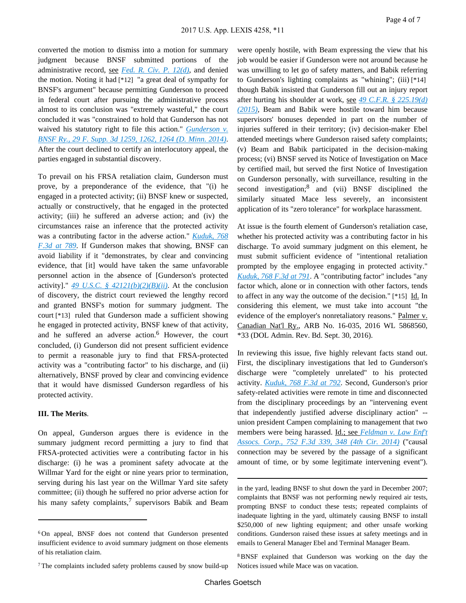converted the motion to dismiss into a motion for summary judgment because BNSF submitted portions of the administrative record, see *[Fed. R. Civ. P. 12\(d\)](http://advance.lexis.com/api/document?collection=statutes-legislation&id=urn:contentItem:5GYC-1WP1-6N19-F0YW-00000-00&context=)*, and denied the motion. Noting it had [\*12] "a great deal of sympathy for BNSF's argument" because permitting Gunderson to proceed in federal court after pursuing the administrative process almost to its conclusion was "extremely wasteful," the court concluded it was "constrained to hold that Gunderson has not waived his statutory right to file this action." *[Gunderson v.](http://advance.lexis.com/api/document?collection=cases&id=urn:contentItem:5CJG-PV11-F04D-J03H-00000-00&context=)  [BNSF Ry., 29 F. Supp. 3d 1259, 1262, 1264 \(D. Minn. 2014\)](http://advance.lexis.com/api/document?collection=cases&id=urn:contentItem:5CJG-PV11-F04D-J03H-00000-00&context=)*. After the court declined to certify an interlocutory appeal, the parties engaged in substantial discovery.

To prevail on his FRSA retaliation claim, Gunderson must prove, by a preponderance of the evidence, that "(i) he engaged in a protected activity; (ii) BNSF knew or suspected, actually or constructively, that he engaged in the protected activity; (iii) he suffered an adverse action; and (iv) the circumstances raise an inference that the protected activity was a contributing factor in the adverse action." *[Kuduk, 768](http://advance.lexis.com/api/document?collection=cases&id=urn:contentItem:5D9K-9441-F04K-S0SS-00000-00&context=)  [F.3d at 789](http://advance.lexis.com/api/document?collection=cases&id=urn:contentItem:5D9K-9441-F04K-S0SS-00000-00&context=)*. If Gunderson makes that showing, BNSF can avoid liability if it "demonstrates, by clear and convincing evidence, that [it] would have taken the same unfavorable personnel action in the absence of [Gunderson's protected activity]."  $49$  U.S.C. §  $42121(b)(2)(B)(ii)$ . At the conclusion of discovery, the district court reviewed the lengthy record and granted BNSF's motion for summary judgment. The court [\*13] ruled that Gunderson made a sufficient showing he engaged in protected activity, BNSF knew of that activity, and he suffered an adverse action.<sup>6</sup> However, the court concluded, (i) Gunderson did not present sufficient evidence to permit a reasonable jury to find that FRSA-protected activity was a "contributing factor" to his discharge, and (ii) alternatively, BNSF proved by clear and convincing evidence that it would have dismissed Gunderson regardless of his protected activity.

#### **III. The Merits**.

On appeal, Gunderson argues there is evidence in the summary judgment record permitting a jury to find that FRSA-protected activities were a contributing factor in his discharge: (i) he was a prominent safety advocate at the Willmar Yard for the eight or nine years prior to termination, serving during his last year on the Willmar Yard site safety committee; (ii) though he suffered no prior adverse action for his many safety complaints,<sup>7</sup> supervisors Babik and Beam

were openly hostile, with Beam expressing the view that his job would be easier if Gunderson were not around because he was unwilling to let go of safety matters, and Babik referring to Gunderson's lighting complaints as "whining"; (iii) [\*14] though Babik insisted that Gunderson fill out an injury report after hurting his shoulder at work, see *[49 C.F.R. § 225.19\(d\)](http://advance.lexis.com/api/document?collection=administrative-codes&id=urn:contentItem:5MJC-J2P0-008H-04JG-00000-00&context=)  [\(2015\)](http://advance.lexis.com/api/document?collection=administrative-codes&id=urn:contentItem:5MJC-J2P0-008H-04JG-00000-00&context=)*, Beam and Babik were hostile toward him because supervisors' bonuses depended in part on the number of injuries suffered in their territory; (iv) decision-maker Ebel attended meetings where Gunderson raised safety complaints; (v) Beam and Babik participated in the decision-making process; (vi) BNSF served its Notice of Investigation on Mace by certified mail, but served the first Notice of Investigation on Gunderson personally, with surveillance, resulting in the second investigation;<sup>8</sup> and (vii) BNSF disciplined the similarly situated Mace less severely, an inconsistent application of its "zero tolerance" for workplace harassment.

At issue is the fourth element of Gunderson's retaliation case, whether his protected activity was a contributing factor in his discharge. To avoid summary judgment on this element, he must submit sufficient evidence of "intentional retaliation prompted by the employee engaging in protected activity." *[Kuduk, 768 F.3d at 791](http://advance.lexis.com/api/document?collection=cases&id=urn:contentItem:5D9K-9441-F04K-S0SS-00000-00&context=)*. A "contributing factor" includes "any factor which, alone or in connection with other factors, tends to affect in any way the outcome of the decision." [\*15] Id. In considering this element, we must take into account "the evidence of the employer's nonretaliatory reasons." Palmer v. Canadian Nat'l Ry., ARB No. 16-035, 2016 WL 5868560, \*33 (DOL Admin. Rev. Bd. Sept. 30, 2016).

In reviewing this issue, five highly relevant facts stand out. First, the disciplinary investigations that led to Gunderson's discharge were "completely unrelated" to his protected activity. *[Kuduk, 768 F.3d at 792](http://advance.lexis.com/api/document?collection=cases&id=urn:contentItem:5D9K-9441-F04K-S0SS-00000-00&context=)*. Second, Gunderson's prior safety-related activities were remote in time and disconnected from the disciplinary proceedings by an "intervening event that independently justified adverse disciplinary action" - union president Campen complaining to management that two members were being harassed. Id.; see *[Feldman v. Law Enf't](http://advance.lexis.com/api/document?collection=cases&id=urn:contentItem:5C62-6D41-F04K-M01K-00000-00&context=)  [Assocs. Corp., 752 F.3d 339, 348 \(4th Cir. 2014\)](http://advance.lexis.com/api/document?collection=cases&id=urn:contentItem:5C62-6D41-F04K-M01K-00000-00&context=)* ("causal connection may be severed by the passage of a significant amount of time, or by some legitimate intervening event").

<sup>6</sup>On appeal, BNSF does not contend that Gunderson presented insufficient evidence to avoid summary judgment on those elements of his retaliation claim.

<sup>7</sup>The complaints included safety problems caused by snow build-up

in the yard, leading BNSF to shut down the yard in December 2007; complaints that BNSF was not performing newly required air tests, prompting BNSF to conduct these tests; repeated complaints of inadequate lighting in the yard, ultimately causing BNSF to install \$250,000 of new lighting equipment; and other unsafe working conditions. Gunderson raised these issues at safety meetings and in emails to General Manager Ebel and Terminal Manager Beam.

<sup>8</sup>BNSF explained that Gunderson was working on the day the Notices issued while Mace was on vacation.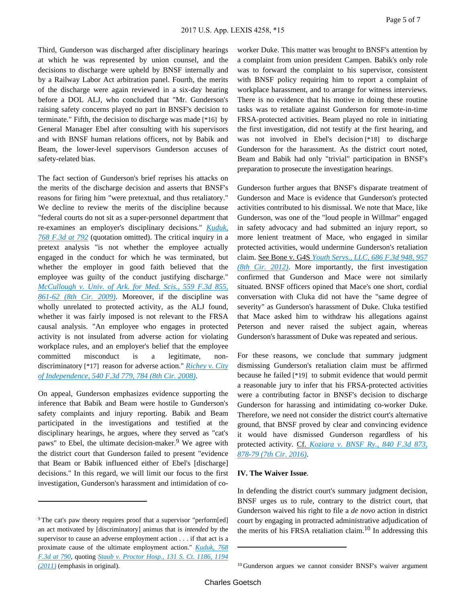Third, Gunderson was discharged after disciplinary hearings at which he was represented by union counsel, and the decisions to discharge were upheld by BNSF internally and by a Railway Labor Act arbitration panel. Fourth, the merits of the discharge were again reviewed in a six-day hearing before a DOL ALJ, who concluded that "Mr. Gunderson's raising safety concerns played no part in BNSF's decision to terminate." Fifth, the decision to discharge was made [\*16] by General Manager Ebel after consulting with his supervisors and with BNSF human relations officers, not by Babik and Beam, the lower-level supervisors Gunderson accuses of safety-related bias.

The fact section of Gunderson's brief reprises his attacks on the merits of the discharge decision and asserts that BNSF's reasons for firing him "were pretextual, and thus retaliatory." We decline to review the merits of the discipline because "federal courts do not sit as a super-personnel department that re-examines an employer's disciplinary decisions." *[Kuduk,](http://advance.lexis.com/api/document?collection=cases&id=urn:contentItem:5D9K-9441-F04K-S0SS-00000-00&context=)  [768 F.3d at 792](http://advance.lexis.com/api/document?collection=cases&id=urn:contentItem:5D9K-9441-F04K-S0SS-00000-00&context=)* (quotation omitted). The critical inquiry in a pretext analysis "is not whether the employee actually engaged in the conduct for which he was terminated, but whether the employer in good faith believed that the employee was guilty of the conduct justifying discharge." *[McCullough v. Univ. of Ark. for Med. Scis., 559 F.3d 855,](http://advance.lexis.com/api/document?collection=cases&id=urn:contentItem:4VX6-J890-TXFX-B1W6-00000-00&context=)  [861-62 \(8th Cir. 2009\)](http://advance.lexis.com/api/document?collection=cases&id=urn:contentItem:4VX6-J890-TXFX-B1W6-00000-00&context=)*. Moreover, if the discipline was wholly unrelated to protected activity, as the ALJ found, whether it was fairly imposed is not relevant to the FRSA causal analysis. "An employee who engages in protected activity is not insulated from adverse action for violating workplace rules, and an employer's belief that the employee committed misconduct is a legitimate, nondiscriminatory [\*17] reason for adverse action." *[Richey v. City](http://advance.lexis.com/api/document?collection=cases&id=urn:contentItem:4TC8-6PR0-TX4N-G017-00000-00&context=)  [of Independence, 540 F.3d 779, 784 \(8th Cir. 2008\)](http://advance.lexis.com/api/document?collection=cases&id=urn:contentItem:4TC8-6PR0-TX4N-G017-00000-00&context=)*.

On appeal, Gunderson emphasizes evidence supporting the inference that Babik and Beam were hostile to Gunderson's safety complaints and injury reporting. Babik and Beam participated in the investigations and testified at the disciplinary hearings, he argues, where they served as "cat's paws" to Ebel, the ultimate decision-maker.<sup>9</sup> We agree with the district court that Gunderson failed to present "evidence that Beam or Babik influenced either of Ebel's [discharge] decisions." In this regard, we will limit our focus to the first investigation, Gunderson's harassment and intimidation of coworker Duke. This matter was brought to BNSF's attention by a complaint from union president Campen. Babik's only role was to forward the complaint to his supervisor, consistent with BNSF policy requiring him to report a complaint of workplace harassment, and to arrange for witness interviews. There is no evidence that his motive in doing these routine tasks was to retaliate against Gunderson for remote-in-time FRSA-protected activities. Beam played no role in initiating the first investigation, did not testify at the first hearing, and was not involved in Ebel's decision [\*18] to discharge Gunderson for the harassment. As the district court noted, Beam and Babik had only "trivial" participation in BNSF's preparation to prosecute the investigation hearings.

Gunderson further argues that BNSF's disparate treatment of Gunderson and Mace is evidence that Gunderson's protected activities contributed to his dismissal. We note that Mace, like Gunderson, was one of the "loud people in Willmar" engaged in safety advocacy and had submitted an injury report, so more lenient treatment of Mace, who engaged in similar protected activities, would undermine Gunderson's retaliation claim. See Bone v. G4S *[Youth Servs., LLC, 686 F.3d 948, 957](http://advance.lexis.com/api/document?collection=cases&id=urn:contentItem:5676-KC41-F04K-S1X5-00000-00&context=)  [\(8th Cir. 2012\)](http://advance.lexis.com/api/document?collection=cases&id=urn:contentItem:5676-KC41-F04K-S1X5-00000-00&context=)*. More importantly, the first investigation confirmed that Gunderson and Mace were not similarly situated. BNSF officers opined that Mace's one short, cordial conversation with Cluka did not have the "same degree of severity" as Gunderson's harassment of Duke. Cluka testified that Mace asked him to withdraw his allegations against Peterson and never raised the subject again, whereas Gunderson's harassment of Duke was repeated and serious.

For these reasons, we conclude that summary judgment dismissing Gunderson's retaliation claim must be affirmed because he failed [\*19] to submit evidence that would permit a reasonable jury to infer that his FRSA-protected activities were a contributing factor in BNSF's decision to discharge Gunderson for harassing and intimidating co-worker Duke. Therefore, we need not consider the district court's alternative ground, that BNSF proved by clear and convincing evidence it would have dismissed Gunderson regardless of his protected activity. Cf. *[Koziara v. BNSF Ry., 840 F.3d 873,](http://advance.lexis.com/api/document?collection=cases&id=urn:contentItem:5M2K-89D1-F04K-R02S-00000-00&context=)  [878-79 \(7th Cir. 2016\)](http://advance.lexis.com/api/document?collection=cases&id=urn:contentItem:5M2K-89D1-F04K-R02S-00000-00&context=)*.

#### **IV. The Waiver Issue**.

In defending the district court's summary judgment decision, BNSF urges us to rule, contrary to the district court, that Gunderson waived his right to file a *de novo* action in district court by engaging in protracted administrative adjudication of the merits of his FRSA retaliation claim.<sup>10</sup> In addressing this

<sup>&</sup>lt;sup>9</sup>The cat's paw theory requires proof that a supervisor "perform[ed] an act motivated by [discriminatory] animus that is *intended* by the supervisor to cause an adverse employment action . . . if that act is a proximate cause of the ultimate employment action." *[Kuduk, 768](http://advance.lexis.com/api/document?collection=cases&id=urn:contentItem:5D9K-9441-F04K-S0SS-00000-00&context=)  [F.3d at 790](http://advance.lexis.com/api/document?collection=cases&id=urn:contentItem:5D9K-9441-F04K-S0SS-00000-00&context=)*, quoting *[Staub v. Proctor Hosp., 131 S. Ct. 1186, 1194](http://advance.lexis.com/api/document?collection=cases&id=urn:contentItem:528Y-R9B1-F04K-F112-00000-00&context=)  [\(2011\)](http://advance.lexis.com/api/document?collection=cases&id=urn:contentItem:528Y-R9B1-F04K-F112-00000-00&context=)* (emphasis in original).

<sup>&</sup>lt;sup>10</sup>Gunderson argues we cannot consider BNSF's waiver argument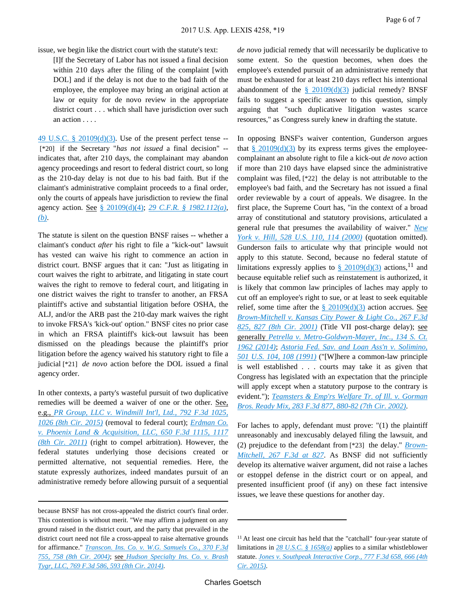issue, we begin like the district court with the statute's text:

[I]f the Secretary of Labor has not issued a final decision within 210 days after the filing of the complaint [with DOL] and if the delay is not due to the bad faith of the employee, the employee may bring an original action at law or equity for de novo review in the appropriate district court . . . which shall have jurisdiction over such an action . . . .

[49 U.S.C. § 20109\(d\)\(3\)](http://advance.lexis.com/api/document?collection=statutes-legislation&id=urn:contentItem:4YF7-GM21-NRF4-40G8-00000-00&context=). Use of the present perfect tense -- [\*20] if the Secretary "*has not issued* a final decision" - indicates that, after 210 days, the complainant may abandon agency proceedings and resort to federal district court, so long as the 210-day delay is not due to his bad faith. But if the claimant's administrative complaint proceeds to a final order, only the courts of appeals have jurisdiction to review the final agency action. See [§ 20109\(d\)\(4\);](http://advance.lexis.com/api/document?collection=statutes-legislation&id=urn:contentItem:4YF7-GM21-NRF4-40G8-00000-00&context=) *[29 C.F.R. § 1982.112\(a\)](http://advance.lexis.com/api/document?collection=administrative-codes&id=urn:contentItem:5HDR-HK10-008H-00KW-00000-00&context=)*, *[\(b\)](http://advance.lexis.com/api/document?collection=administrative-codes&id=urn:contentItem:5HDR-HK10-008H-00KW-00000-00&context=)*.

The statute is silent on the question BNSF raises -- whether a claimant's conduct *after* his right to file a "kick-out" lawsuit has vested can waive his right to commence an action in district court. BNSF argues that it can: "Just as litigating in court waives the right to arbitrate, and litigating in state court waives the right to remove to federal court, and litigating in one district waives the right to transfer to another, an FRSA plaintiff's active and substantial litigation before OSHA, the ALJ, and/or the ARB past the 210-day mark waives the right to invoke FRSA's 'kick-out' option." BNSF cites no prior case in which an FRSA plaintiff's kick-out lawsuit has been dismissed on the pleadings because the plaintiff's prior litigation before the agency waived his statutory right to file a judicial [\*21] *de novo* action before the DOL issued a final agency order.

In other contexts, a party's wasteful pursuit of two duplicative remedies will be deemed a waiver of one or the other. See, e.g., *[PR Group, LLC v. Windmill Int'l, Ltd., 792 F.3d 1025,](http://advance.lexis.com/api/document?collection=cases&id=urn:contentItem:5GF3-5CK1-F04K-S0BD-00000-00&context=)  [1026 \(8th Cir. 2015\)](http://advance.lexis.com/api/document?collection=cases&id=urn:contentItem:5GF3-5CK1-F04K-S0BD-00000-00&context=)* (removal to federal court); *[Erdman Co.](http://advance.lexis.com/api/document?collection=cases&id=urn:contentItem:82YT-HCX1-652R-60J9-00000-00&context=)  [v. Phoenix Land & Acquisition, LLC, 650 F.3d 1115, 1117](http://advance.lexis.com/api/document?collection=cases&id=urn:contentItem:82YT-HCX1-652R-60J9-00000-00&context=)  [\(8th Cir. 2011\)](http://advance.lexis.com/api/document?collection=cases&id=urn:contentItem:82YT-HCX1-652R-60J9-00000-00&context=)* (right to compel arbitration). However, the federal statutes underlying those decisions created or permitted alternative, not sequential remedies. Here, the statute expressly authorizes, indeed mandates pursuit of an administrative remedy before allowing pursuit of a sequential

*de novo* judicial remedy that will necessarily be duplicative to some extent. So the question becomes, when does the employee's extended pursuit of an administrative remedy that must be exhausted for at least 210 days reflect his intentional abandonment of the  $\frac{8}{9}$  20109(d)(3) judicial remedy? BNSF fails to suggest a specific answer to this question, simply arguing that "such duplicative litigation wastes scarce resources," as Congress surely knew in drafting the statute.

In opposing BNSF's waiver contention, Gunderson argues that  $\frac{\sqrt{20109(d)(3)}}{20109(d)(3)}$  by its express terms gives the employeecomplainant an absolute right to file a kick-out *de novo* action if more than 210 days have elapsed since the administrative complaint was filed, [\*22] the delay is not attributable to the employee's bad faith, and the Secretary has not issued a final order reviewable by a court of appeals. We disagree. In the first place, the Supreme Court has, "in the context of a broad array of constitutional and statutory provisions, articulated a general rule that presumes the availability of waiver." *[New](http://advance.lexis.com/api/document?collection=cases&id=urn:contentItem:3Y9N-CV20-004B-Y026-00000-00&context=)  [York v. Hill, 528 U.S. 110, 114 \(2000\)](http://advance.lexis.com/api/document?collection=cases&id=urn:contentItem:3Y9N-CV20-004B-Y026-00000-00&context=)* (quotation omitted). Gunderson fails to articulate why that principle would not apply to this statute. Second, because no federal statute of limitations expressly applies to  $\S$  20109(d)(3) actions, <sup>11</sup> and because equitable relief such as reinstatement is authorized, it is likely that common law principles of laches may apply to cut off an employee's right to sue, or at least to seek equitable relief, some time after the  $\S$  20109(d)(3) action accrues. See *[Brown-Mitchell v. Kansas City Power & Light Co., 267 F.3d](http://advance.lexis.com/api/document?collection=cases&id=urn:contentItem:444R-2H70-0038-X34K-00000-00&context=)  [825, 827 \(8th Cir. 2001\)](http://advance.lexis.com/api/document?collection=cases&id=urn:contentItem:444R-2H70-0038-X34K-00000-00&context=)* (Title VII post-charge delay); see generally *[Petrella v. Metro-Goldwyn-Mayer, Inc., 134 S. Ct.](http://advance.lexis.com/api/document?collection=cases&id=urn:contentItem:5C7H-7DM1-F04K-F07B-00000-00&context=)  [1962 \(2014\)](http://advance.lexis.com/api/document?collection=cases&id=urn:contentItem:5C7H-7DM1-F04K-F07B-00000-00&context=)*; *[Astoria Fed. Sav. and Loan Ass'n v. Solimino,](http://advance.lexis.com/api/document?collection=cases&id=urn:contentItem:3S65-KS80-003B-R0W6-00000-00&context=)  [501 U.S. 104, 108 \(1991\)](http://advance.lexis.com/api/document?collection=cases&id=urn:contentItem:3S65-KS80-003B-R0W6-00000-00&context=)* ("[W]here a common-law principle is well established . . . courts may take it as given that Congress has legislated with an expectation that the principle will apply except when a statutory purpose to the contrary is evident."); *[Teamsters & Emp'rs Welfare Tr. of Ill. v. Gorman](http://advance.lexis.com/api/document?collection=cases&id=urn:contentItem:45D2-DTP0-0038-X1H1-00000-00&context=)  [Bros. Ready Mix, 283 F.3d 877, 880-82 \(7th Cir. 2002\)](http://advance.lexis.com/api/document?collection=cases&id=urn:contentItem:45D2-DTP0-0038-X1H1-00000-00&context=)*.

For laches to apply, defendant must prove: "(1) the plaintiff unreasonably and inexcusably delayed filing the lawsuit, and (2) prejudice to the defendant from [\*23] the delay." *[Brown-](http://advance.lexis.com/api/document?collection=cases&id=urn:contentItem:444R-2H70-0038-X34K-00000-00&context=)[Mitchell, 267 F.3d at 827](http://advance.lexis.com/api/document?collection=cases&id=urn:contentItem:444R-2H70-0038-X34K-00000-00&context=)*. As BNSF did not sufficiently develop its alternative waiver argument, did not raise a laches or estoppel defense in the district court or on appeal, and presented insufficient proof (if any) on these fact intensive issues, we leave these questions for another day.

because BNSF has not cross-appealed the district court's final order. This contention is without merit. "We may affirm a judgment on any ground raised in the district court, and the party that prevailed in the district court need not file a cross-appeal to raise alternative grounds for affirmance." *[Transcon. Ins. Co. v. W.G. Samuels Co., 370 F.3d](http://advance.lexis.com/api/document?collection=cases&id=urn:contentItem:4CJ5-PP20-0038-X22N-00000-00&context=)  [755, 758 \(8th Cir. 2004\)](http://advance.lexis.com/api/document?collection=cases&id=urn:contentItem:4CJ5-PP20-0038-X22N-00000-00&context=)*; see *[Hudson Specialty Ins. Co. v. Brash](http://advance.lexis.com/api/document?collection=cases&id=urn:contentItem:5D9K-9441-F04K-S0SN-00000-00&context=)  [Tygr, LLC, 769 F.3d 586, 593 \(8th Cir. 2014\)](http://advance.lexis.com/api/document?collection=cases&id=urn:contentItem:5D9K-9441-F04K-S0SN-00000-00&context=)*.

<sup>11</sup>At least one circuit has held that the "catchall" four-year statute of limitations in *[28 U.S.C. § 1658\(a\)](http://advance.lexis.com/api/document?collection=statutes-legislation&id=urn:contentItem:4YF7-GWG1-NRF4-4108-00000-00&context=)* applies to a similar whistleblower statute. *[Jones v. Southpeak Interactive Corp., 777 F.3d 658, 666 \(4th](http://advance.lexis.com/api/document?collection=cases&id=urn:contentItem:5F58-TGT1-F04K-M013-00000-00&context=)  [Cir. 2015\)](http://advance.lexis.com/api/document?collection=cases&id=urn:contentItem:5F58-TGT1-F04K-M013-00000-00&context=)*.